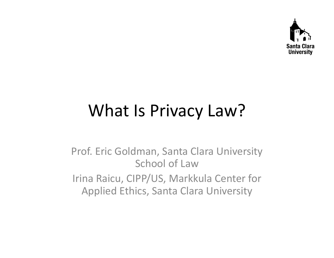

### What Is Privacy Law?

Prof. Eric Goldman, Santa Clara University School of LawIrina Raicu, CIPP/US, Markkula Center for Applied Ethics, Santa Clara University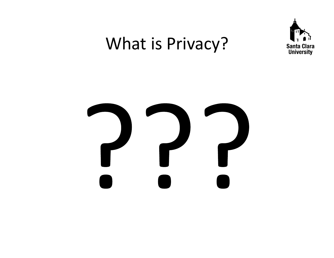

### What is Privacy?

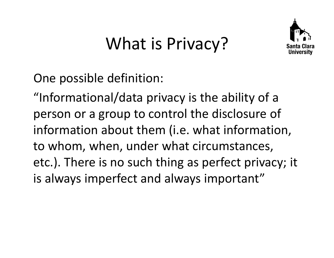### What is Privacy?



One possible definition:

"Informational/data privacy is the ability of <sup>a</sup> person or <sup>a</sup> group to control the disclosure of information about them (i.e. what information, to whom, when, under what circumstances, etc.). There is no such thing as perfect privacy; it is always imperfect and always important"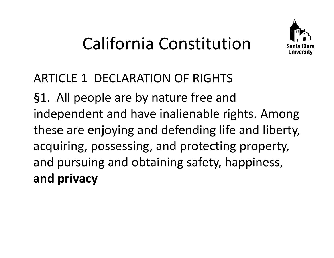# California Constitution



### ARTICLE 1 DECLARATION OF RIGHTS

§1. All people are by nature free and independent and have inalienable rights. Among these are enjoying and defending life and liberty, acquiring, possessing, and protecting property, and pursuing and obtaining safety, happiness, **and privacy**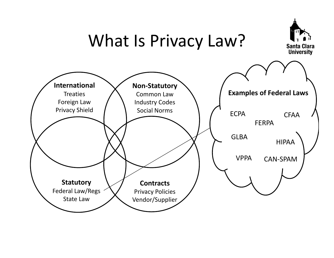

### What Is Privacy Law?

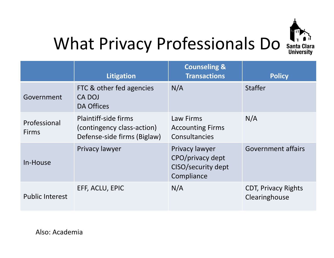

### What Privacy Professionals Do

|                              | Litigation                                                                               | <b>Counseling &amp;</b><br><b>Transactions</b>                         | <b>Policy</b>                               |
|------------------------------|------------------------------------------------------------------------------------------|------------------------------------------------------------------------|---------------------------------------------|
| Government                   | FTC & other fed agencies<br>CA DOJ<br><b>DA Offices</b>                                  | N/A                                                                    | <b>Staffer</b>                              |
| Professional<br><b>Firms</b> | <b>Plaintiff-side firms</b><br>(contingency class-action)<br>Defense-side firms (Biglaw) | Law Firms<br><b>Accounting Firms</b><br>Consultancies                  | N/A                                         |
| In-House                     | Privacy lawyer                                                                           | Privacy lawyer<br>CPO/privacy dept<br>CISO/security dept<br>Compliance | <b>Government affairs</b>                   |
| <b>Public Interest</b>       | EFF, ACLU, EPIC                                                                          | N/A                                                                    | <b>CDT, Privacy Rights</b><br>Clearinghouse |

Also: Academia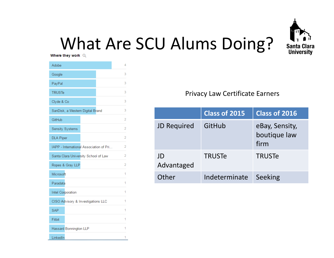

#### What Are SCU Alums Doing? Where they work  $Q$

Adobe 4  $\overline{3}$ Google  $\overline{3}$ PayPal **TRUSTe**  $\overline{3}$ Clyde & Co  $\overline{3}$ SanDisk, a Western Digital Brand 3  $\overline{2}$ GitHub Sensity Systems  $\overline{2}$ **DLA Piper**  $\overline{2}$ IAPP - International Association of Pri...  $\overline{2}$ Santa Clara University School of Law  $\overline{2}$ Ropes & Gray LLP  $\overline{2}$ Microsoft 1 Paradata  $\mathbf{1}$ Intel Corporation  $\mathbf{1}$ CISO Advisory & Investigations LLC  $\blacksquare$ **SAP** 1 Fitbit  $\mathbf{1}$ Hassard Bonnington LLP  $\mathbf{1}$ 1 LinkedIn

#### Privacy Law Certificate Earners

|                    | <b>Class of 2015</b> | Class of 2016                          |
|--------------------|----------------------|----------------------------------------|
| <b>JD Required</b> | GitHub               | eBay, Sensity,<br>boutique law<br>firm |
| JD<br>Advantaged   | <b>TRUSTe</b>        | <b>TRUSTe</b>                          |
| Other              | Indeterminate        | Seeking                                |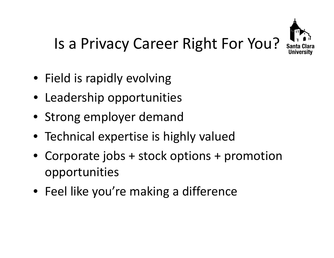

### Is a Privacy Career Right For You?

- Field is rapidly evolving
- Leadership opportunities
- Strong employer demand
- Technical expertise is highly valued
- Corporate jobs <sup>+</sup> stock options <sup>+</sup> promotion opportunities
- Feel like you're making <sup>a</sup> difference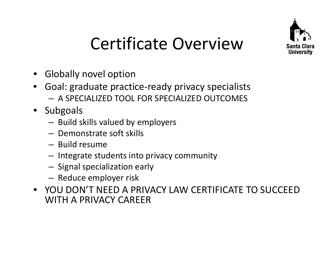

### Certificate Overview

- Globally novel option
- • Goal: graduate practice‐ready privacy specialists – A SPECIALIZED TOOL FOR SPECIALIZED OUTCOMES
- Subgoals
	- – $-$  Build skills valued by employers
	- Demonstrate soft skills
	- Build resume
	- – $-$  Integrate students into privacy community
	- – $-$  Signal specialization early
	- – $-$  Reduce employer risk
- YOU DON'T NEED A PRIVACY LAW CERTIFICATE TO SUCCEED WITH A PRIVACY CAREER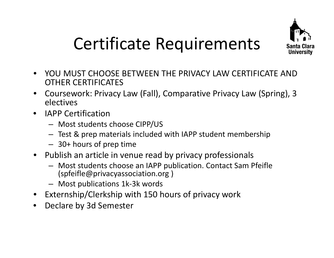

## Certificate Requirements

- YOU MUST CHOOSE BETWEEN THE PRIVACY LAW CERTIFICATE AND OTHER CERTIFICATES
- $\bullet$  Coursework: Privacy Law (Fall), Comparative Privacy Law (Spring), 3 electives
- IAPP Certification
	- Most students choose CIPP/US
	- Test & prep materials included with IAPP student membership
	- 30+ hours of prep time
- Publish an article in venue read by privacy professionals
	- Most students choose an IAPP publication. Contact Sam Pfeifle (spfeifle@privacyassociation.org )
	- Most publications 1k‐3k words
- •Externship/Clerkship with 150 hours of privacy work
- •Declare by 3d Semester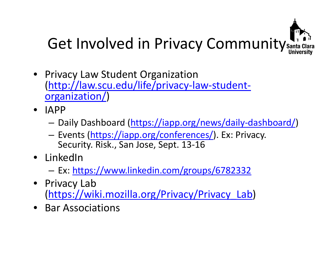

- Privacy Law Student Organization (http://law.scu.edu/life/privacy‐law‐student‐ organization/)
- IAPP
	- –— Daily Dashboard (https://iapp.org/news/daily-dashboard/)
	- Events (https://iapp.org/conferences/). Ex: Privacy. Security. Risk., San Jose, Sept. 13‐16
- LinkedIn
	- Ex: https://www.linkedin.com/groups/6782332
- Privacy Lab (https://wiki.mozilla.org/Privacy/Privacy\_Lab)
- Bar Associations